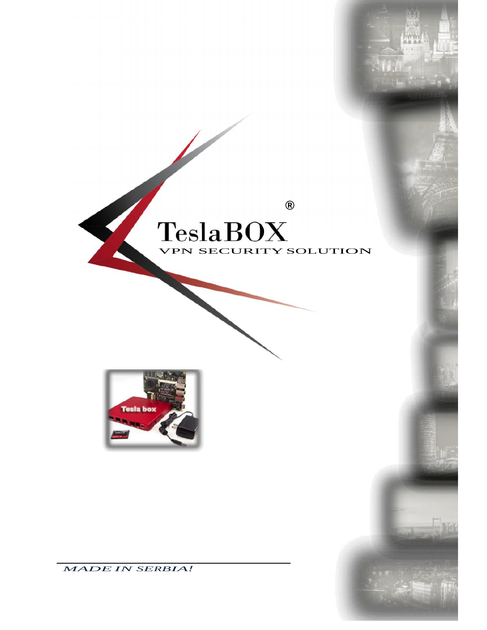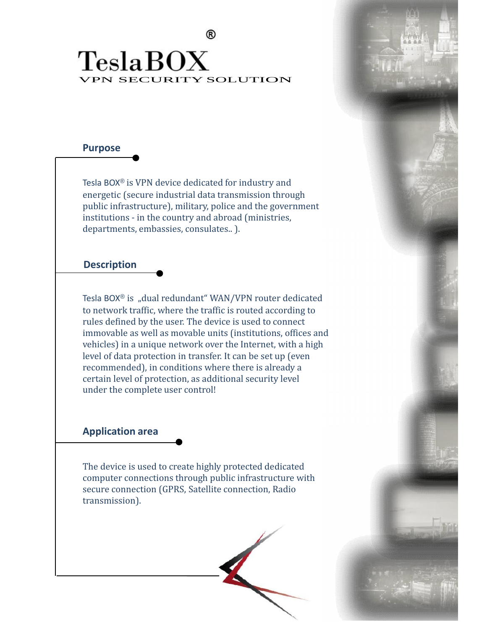®

## VPN SECURITY SOLUTION

#### **Purpose**

Tesla BOX ® is VPN device dedicated for industry and energetic (secure industrial data transmission through public infrastructure), military, police and the government institutions - in the country and abroad (ministries, departments, embassies, consulates.. ).

#### **Description**

Tesla BOX® is "dual redundant" WAN/VPN router dedicated to network traffic, where the traffic is routed according to rules defined by the user. The device is used to connect immovable as well as movable units (institutions, offices and vehicles) in a unique network over the Internet, with a high level of data protection in transfer. It can be set up (even recommended), in conditions where there is already a certain level of protection, as additional security level under the complete user control!

#### **Application area**

The device is used to create highly protected dedicated computer connections through public infrastructure with secure connection (GPRS, Satellite connection, Radio transmission).

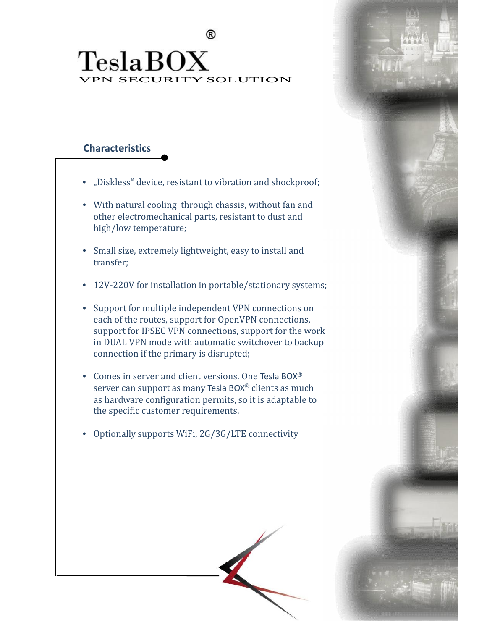### ® VPN SECURITY SOLUTION

#### **Characteristics**

- "Diskless" device, resistant to vibration and shockproof;
- With natural cooling through chassis, without fan and other electromechanical parts, resistant to dust and high/low temperature;
- Small size, extremely lightweight, easy to install and transfer;
- 12V-220V for installation in portable/stationary systems;
- Support for multiple independent VPN connections on each of the routes, support for OpenVPN connections, support for IPSEC VPN connections, support for the work in DUAL VPN mode with automatic switchover to backup connection if the primary is disrupted;
- Comes in server and client versions. One Tesla BOX ® server can support as many Tesla BOX ® clients as much as hardware configuration permits, so it is adaptable to the specific customer requirements.
- Optionally supports WiFi, 2G/3G/LTE connectivity

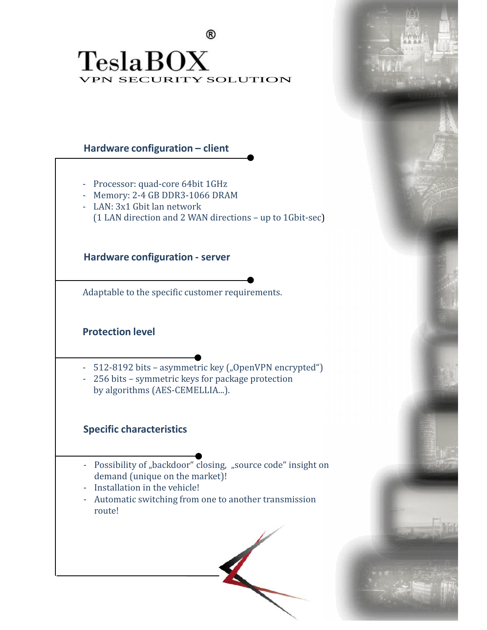®

## VPN SECURITY SOLUTION

#### **Hardware configuration – client**

- Processor: quad-core 64bit 1GHz
- Memory: 2-4 GB DDR3-1066 DRAM
- LAN: 3x1 Gbit lan network (1 LAN direction and 2 WAN directions – up to 1Gbit-sec)

**Hardware configuration - server**

Adaptable to the specific customer requirements.

#### **Protection level**

- 512-8192 bits asymmetric key ("OpenVPN encrypted")
- 256 bits symmetric keys for package protection by algorithms (AES-CEMELLIA...).

#### **Specific characteristics**

- Possibility of "backdoor" closing, "source code" insight on demand (unique on the market)!
- Installation in the vehicle!
- Automatic switching from one to another transmission route!

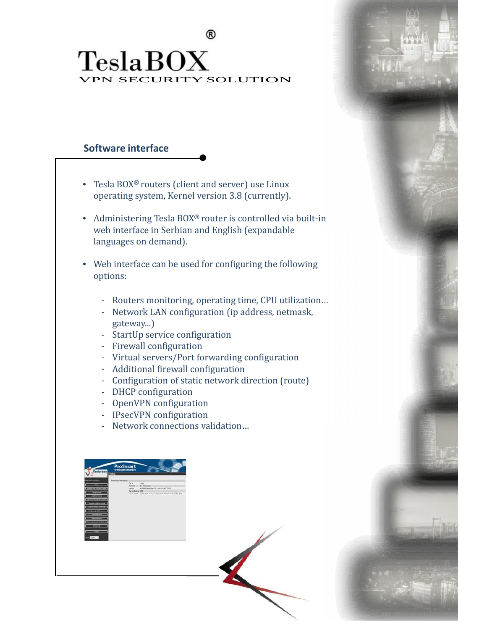® VPN SECURITY SOLUTION

#### **Software interface**

- Tesla BOX ® routers (client and server) use Linux operating system, Kernel version 3.8 (currently).
- Administering Tesla BOX ® router is controlled via built-in web interface in Serbian and English (expandable languages on demand).
- Web interface can be used for configuring the following options:
	- Routers monitoring, operating time, CPU utilization…
	- Network LAN configuration (ip address, netmask, gateway...)
	- StartUp service configuration
	- Firewall configuration
	- Virtual servers/Port forwarding configuration
	- Additional firewall configuration
	- Configuration of static network direction (route)
	- DHCP configuration
	- OpenVPN configuration
	- IPsecVPN configuration
	- Network connections validation…

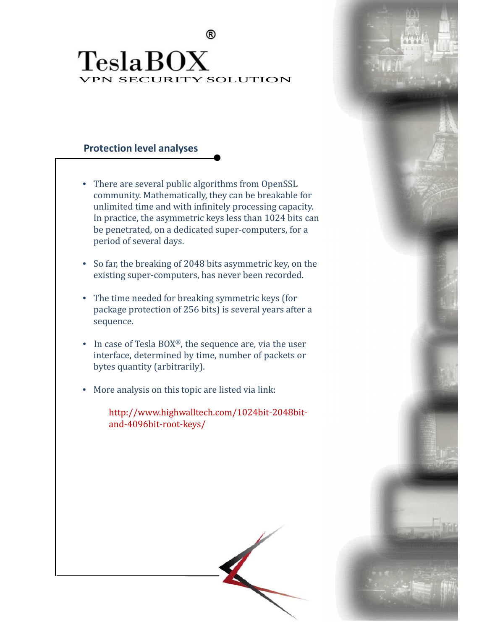®

### VPN SECURITY SOLUTION

#### **Protection level analyses**

- There are several public algorithms from OpenSSL community. Mathematically, they can be breakable for unlimited time and with infinitely processing capacity. In practice, the asymmetric keys less than 1024 bits can be penetrated, on a dedicated super-computers, for a period of several days.
- So far, the breaking of 2048 bits asymmetric key, on the existing super-computers, has never been recorded.
- The time needed for breaking symmetric keys (for package protection of 256 bits) is several years after a sequence.
- In case of Tesla BOX®, the sequence are, via the user interface, determined by time, number of packets or bytes quantity (arbitrarily).
- More analysis on this topic are listed via link:

http://www.highwalltech.com/1024bit-2048bit and-4096bit-root-keys/